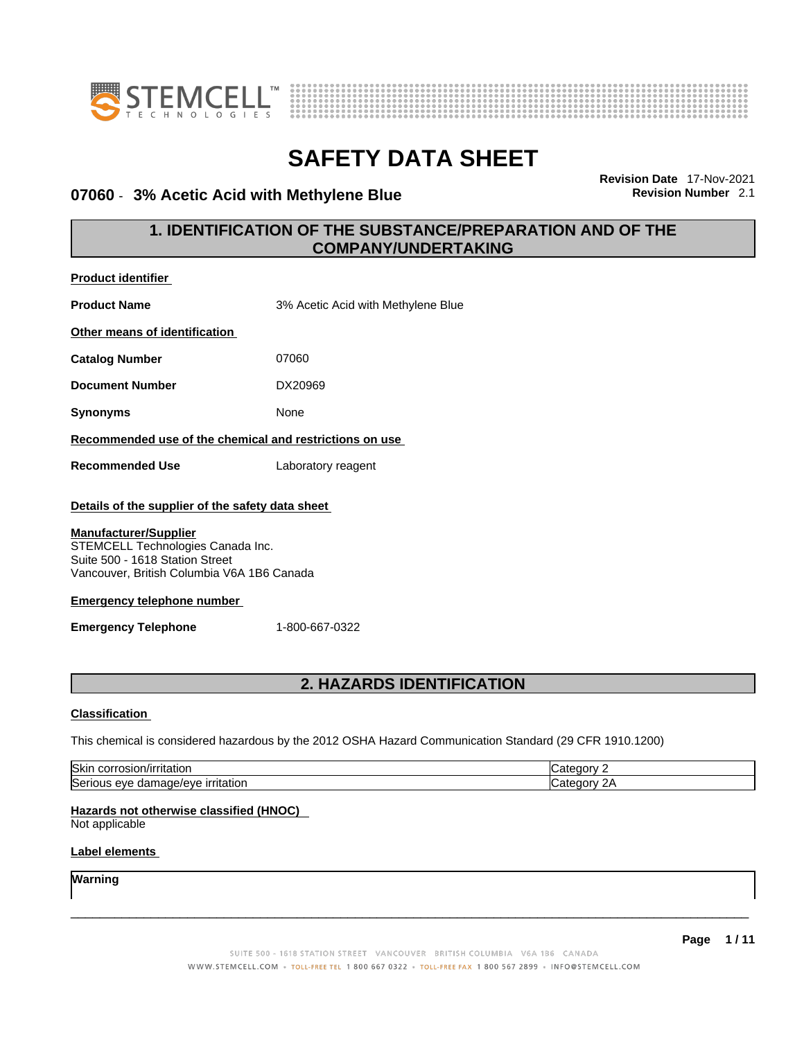



### **07060 - 3% Acetic Acid with Methylene Blue**

**Revision Date** 17-Nov-2021

# **1. IDENTIFICATION OF THE SUBSTANCE/PREPARATION AND OF THE COMPANY/UNDERTAKING**

| <b>Product identifier</b>                                                                                                                                                                                                                   |                                                                                                         |             |
|---------------------------------------------------------------------------------------------------------------------------------------------------------------------------------------------------------------------------------------------|---------------------------------------------------------------------------------------------------------|-------------|
| <b>Product Name</b>                                                                                                                                                                                                                         | 3% Acetic Acid with Methylene Blue                                                                      |             |
| Other means of identification                                                                                                                                                                                                               |                                                                                                         |             |
| <b>Catalog Number</b>                                                                                                                                                                                                                       | 07060                                                                                                   |             |
| <b>Document Number</b>                                                                                                                                                                                                                      | DX20969                                                                                                 |             |
| <b>Synonyms</b>                                                                                                                                                                                                                             | None                                                                                                    |             |
| Recommended use of the chemical and restrictions on use                                                                                                                                                                                     |                                                                                                         |             |
| <b>Recommended Use</b>                                                                                                                                                                                                                      | Laboratory reagent                                                                                      |             |
| Details of the supplier of the safety data sheet<br><b>Manufacturer/Supplier</b><br>STEMCELL Technologies Canada Inc.<br>Suite 500 - 1618 Station Street<br>Vancouver, British Columbia V6A 1B6 Canada<br><b>Emergency telephone number</b> |                                                                                                         |             |
| <b>Emergency Telephone</b>                                                                                                                                                                                                                  | 1-800-667-0322                                                                                          |             |
|                                                                                                                                                                                                                                             |                                                                                                         |             |
|                                                                                                                                                                                                                                             | 2. HAZARDS IDENTIFICATION                                                                               |             |
| <b>Classification</b>                                                                                                                                                                                                                       |                                                                                                         |             |
|                                                                                                                                                                                                                                             | This chemical is considered hazardous by the 2012 OSHA Hazard Communication Standard (29 CFR 1910.1200) |             |
| Skin corrosion/irritation                                                                                                                                                                                                                   |                                                                                                         | Category 2  |
| Serious eye damage/eye irritation                                                                                                                                                                                                           |                                                                                                         | Category 2A |
| Hazards not otherwise classified (HNOC)<br>Not applicable<br>Label elements                                                                                                                                                                 |                                                                                                         |             |
| Warning                                                                                                                                                                                                                                     |                                                                                                         |             |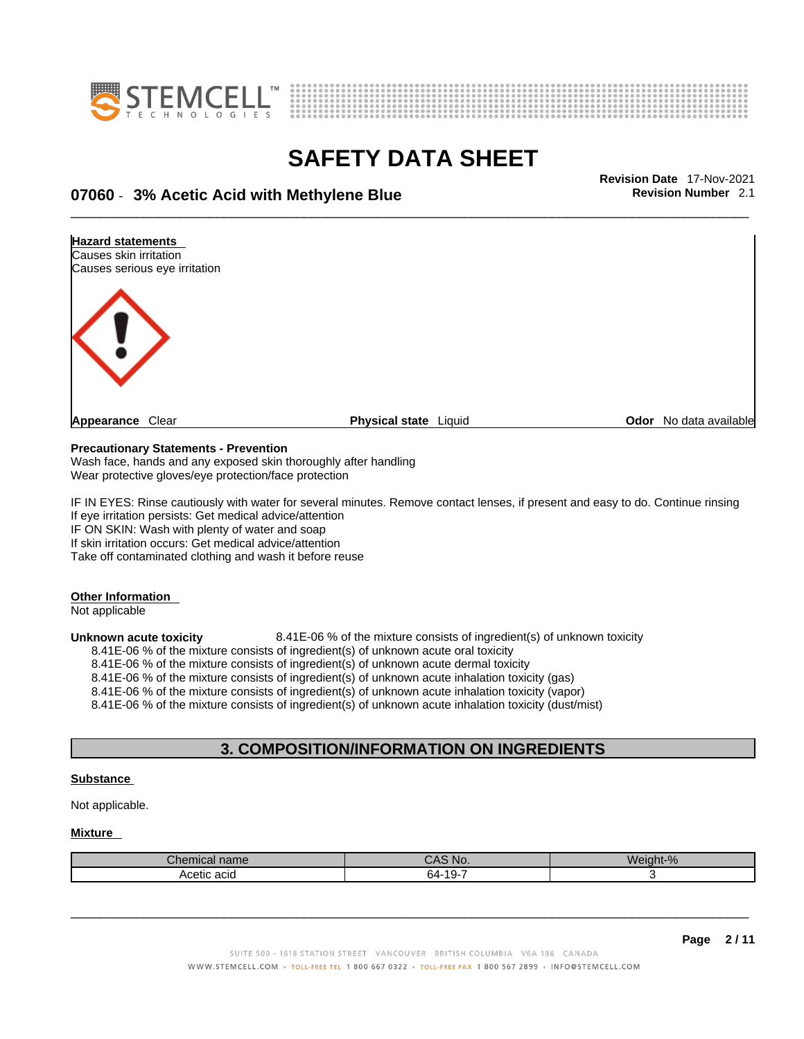



\_\_\_\_\_\_\_\_\_\_\_\_\_\_\_\_\_\_\_\_\_\_\_\_\_\_\_\_\_\_\_\_\_\_\_\_\_\_\_\_\_\_\_\_\_\_\_\_\_\_\_\_\_\_\_\_\_\_\_\_\_\_\_\_\_\_\_\_\_\_\_\_\_\_\_\_\_\_\_\_\_\_\_\_\_\_\_\_\_\_\_\_\_ **Revision Date** 17-Nov-2021 **07060** - **3% Acetic Acid with Methylene Blue Revision Number** 2.1

**Hazard statements**  Causes skin irritation Causes serious eye irritation **Appearance** Clear **Physical state** Liquid **Odor No data available Appearance** Clear

#### **Precautionary Statements - Prevention**

Wash face, hands and any exposed skin thoroughly after handling Wear protective gloves/eye protection/face protection

IF IN EYES: Rinse cautiously with water for several minutes. Remove contact lenses, if present and easy to do. Continue rinsing If eye irritation persists: Get medical advice/attention IF ON SKIN: Wash with plenty of water and soap If skin irritation occurs: Get medical advice/attention

Take off contaminated clothing and wash it before reuse

### **Other Information**

Not applicable

**Unknown acute toxicity** 8.41E-06 % of the mixture consists of ingredient(s) of unknown toxicity

8.41E-06 % of the mixture consists of ingredient(s) of unknown acute oral toxicity

8.41E-06 % of the mixture consists of ingredient(s) of unknown acute dermal toxicity

8.41E-06 % of the mixture consists of ingredient(s) of unknown acute inhalation toxicity (gas)

8.41E-06 % of the mixture consists of ingredient(s) of unknown acute inhalation toxicity (vapor)

8.41E-06 % of the mixture consists of ingredient(s) of unknown acute inhalation toxicity (dust/mist)

### **3. COMPOSITION/INFORMATION ON INGREDIENTS**

#### **Substance**

Not applicable.

### **Mixture**

| $n \wedge r$<br>nical name | CAS No.              | Weight-%<br>- 70 |
|----------------------------|----------------------|------------------|
| Acetic acid                | $-10 -$<br>64<br>. . |                  |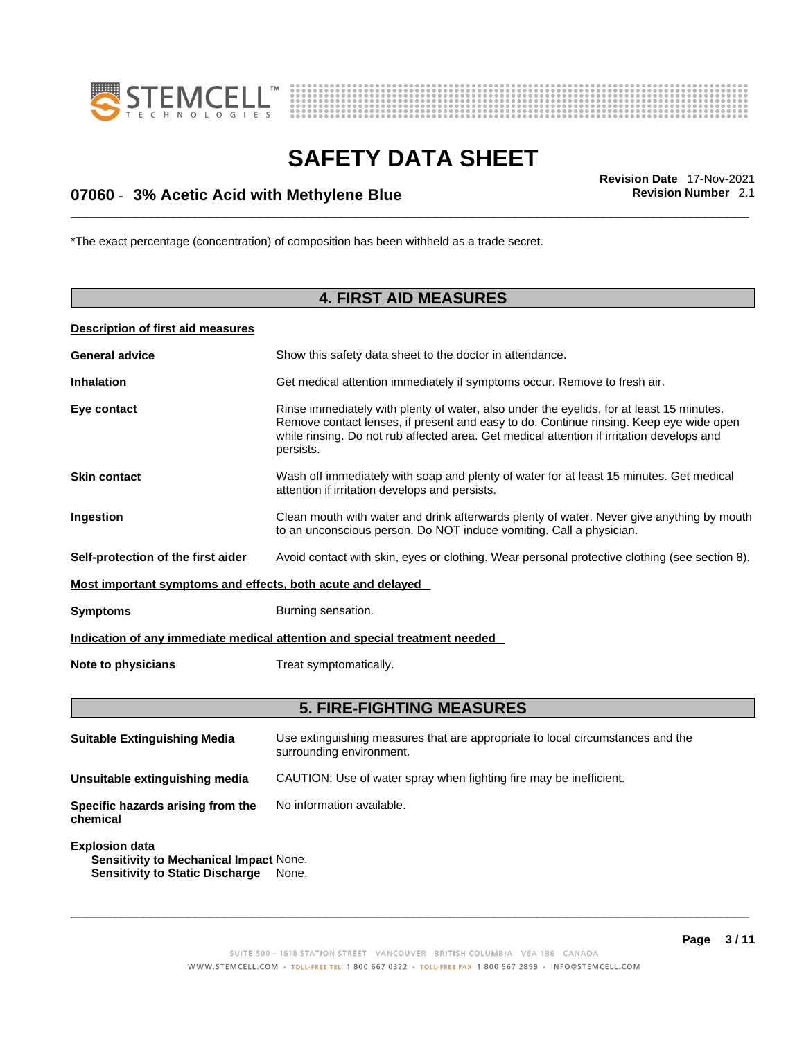



# \_\_\_\_\_\_\_\_\_\_\_\_\_\_\_\_\_\_\_\_\_\_\_\_\_\_\_\_\_\_\_\_\_\_\_\_\_\_\_\_\_\_\_\_\_\_\_\_\_\_\_\_\_\_\_\_\_\_\_\_\_\_\_\_\_\_\_\_\_\_\_\_\_\_\_\_\_\_\_\_\_\_\_\_\_\_\_\_\_\_\_\_\_ **Revision Date** 17-Nov-2021 **07060** - **3% Acetic Acid with Methylene Blue Revision Number** 2.1

\*The exact percentage (concentration) of composition has been withheld as a trade secret.

# **4. FIRST AID MEASURES**

### **Description of first aid measures**

| <b>General advice</b>                                       | Show this safety data sheet to the doctor in attendance.                                                                                                                                                                                                                                     |
|-------------------------------------------------------------|----------------------------------------------------------------------------------------------------------------------------------------------------------------------------------------------------------------------------------------------------------------------------------------------|
| <b>Inhalation</b>                                           | Get medical attention immediately if symptoms occur. Remove to fresh air.                                                                                                                                                                                                                    |
| Eye contact                                                 | Rinse immediately with plenty of water, also under the eyelids, for at least 15 minutes.<br>Remove contact lenses, if present and easy to do. Continue rinsing. Keep eye wide open<br>while rinsing. Do not rub affected area. Get medical attention if irritation develops and<br>persists. |
| <b>Skin contact</b>                                         | Wash off immediately with soap and plenty of water for at least 15 minutes. Get medical<br>attention if irritation develops and persists.                                                                                                                                                    |
| Ingestion                                                   | Clean mouth with water and drink afterwards plenty of water. Never give anything by mouth<br>to an unconscious person. Do NOT induce vomiting. Call a physician.                                                                                                                             |
| Self-protection of the first aider                          | Avoid contact with skin, eyes or clothing. Wear personal protective clothing (see section 8).                                                                                                                                                                                                |
| Most important symptoms and effects, both acute and delayed |                                                                                                                                                                                                                                                                                              |
| <b>Symptoms</b>                                             | Burning sensation.                                                                                                                                                                                                                                                                           |
|                                                             | Indication of any immediate medical attention and special treatment needed                                                                                                                                                                                                                   |
| Note to physicians                                          | Treat symptomatically.                                                                                                                                                                                                                                                                       |
|                                                             |                                                                                                                                                                                                                                                                                              |

# **5. FIRE-FIGHTING MEASURES**

| <b>Suitable Extinguishing Media</b>                                                                              | Use extinguishing measures that are appropriate to local circumstances and the<br>surrounding environment. |
|------------------------------------------------------------------------------------------------------------------|------------------------------------------------------------------------------------------------------------|
| Unsuitable extinguishing media                                                                                   | CAUTION: Use of water spray when fighting fire may be inefficient.                                         |
| Specific hazards arising from the<br>chemical                                                                    | No information available.                                                                                  |
| <b>Explosion data</b><br><b>Sensitivity to Mechanical Impact None.</b><br><b>Sensitivity to Static Discharge</b> | None.                                                                                                      |

SUITE 500 - 1618 STATION STREET VANCOUVER BRITISH COLUMBIA V6A 1B6 CANADA WWW.STEMCELL.COM · TOLL-FREE TEL 1 800 667 0322 · TOLL-FREE FAX 1 800 567 2899 · INFO@STEMCELL.COM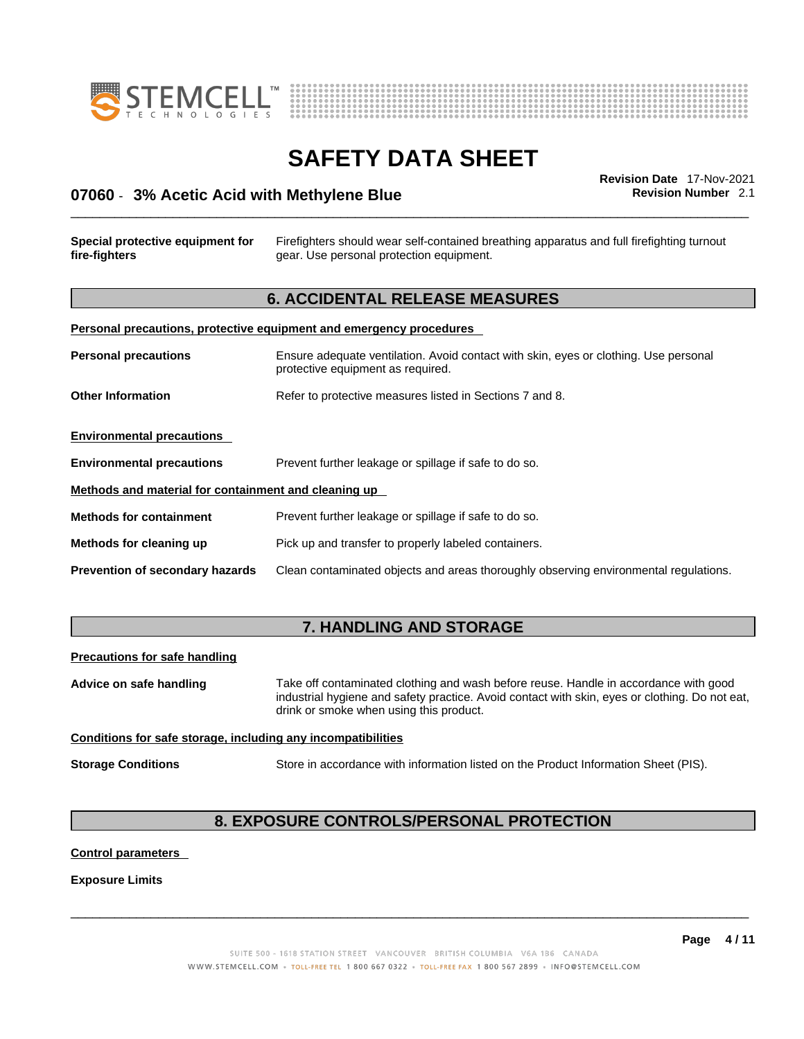



# \_\_\_\_\_\_\_\_\_\_\_\_\_\_\_\_\_\_\_\_\_\_\_\_\_\_\_\_\_\_\_\_\_\_\_\_\_\_\_\_\_\_\_\_\_\_\_\_\_\_\_\_\_\_\_\_\_\_\_\_\_\_\_\_\_\_\_\_\_\_\_\_\_\_\_\_\_\_\_\_\_\_\_\_\_\_\_\_\_\_\_\_\_ **Revision Date** 17-Nov-2021 **07060** - **3% Acetic Acid with Methylene Blue Revision Number** 2.1

### **Special protective equipment for fire-fighters** Firefighters should wear self-contained breathing apparatus and full firefighting turnout gear. Use personal protection equipment. **6. ACCIDENTAL RELEASE MEASURES Personal precautions, protective equipment and emergency procedures Personal precautions** Ensure adequate ventilation. Avoid contact with skin, eyes or clothing. Use personal

protective equipment as required. **Other Information** Refer to protective measures listed in Sections 7 and 8. **Environmental precautions Environmental precautions** Prevent further leakage or spillage if safe to do so. **Methods and material for containment and cleaning up Methods for containment** Prevent further leakage or spillage if safe to do so. **Methods for cleaning up** Pick up and transfer to properly labeled containers. **Prevention of secondary hazards** Clean contaminated objects and areas thoroughly observing environmental regulations.

### **7. HANDLING AND STORAGE**

### **Precautions for safe handling**

**Advice on safe handling** Take off contaminated clothing and wash before reuse. Handle in accordance with good industrial hygiene and safety practice. Avoid contact with skin, eyes or clothing. Do not eat, drink or smoke when using this product.

### **Conditions for safe storage, including any incompatibilities**

**Storage Conditions** Store in accordance with information listed on the Product Information Sheet (PIS).

# **8. EXPOSURE CONTROLS/PERSONAL PROTECTION**

### **Control parameters**

### **Exposure Limits**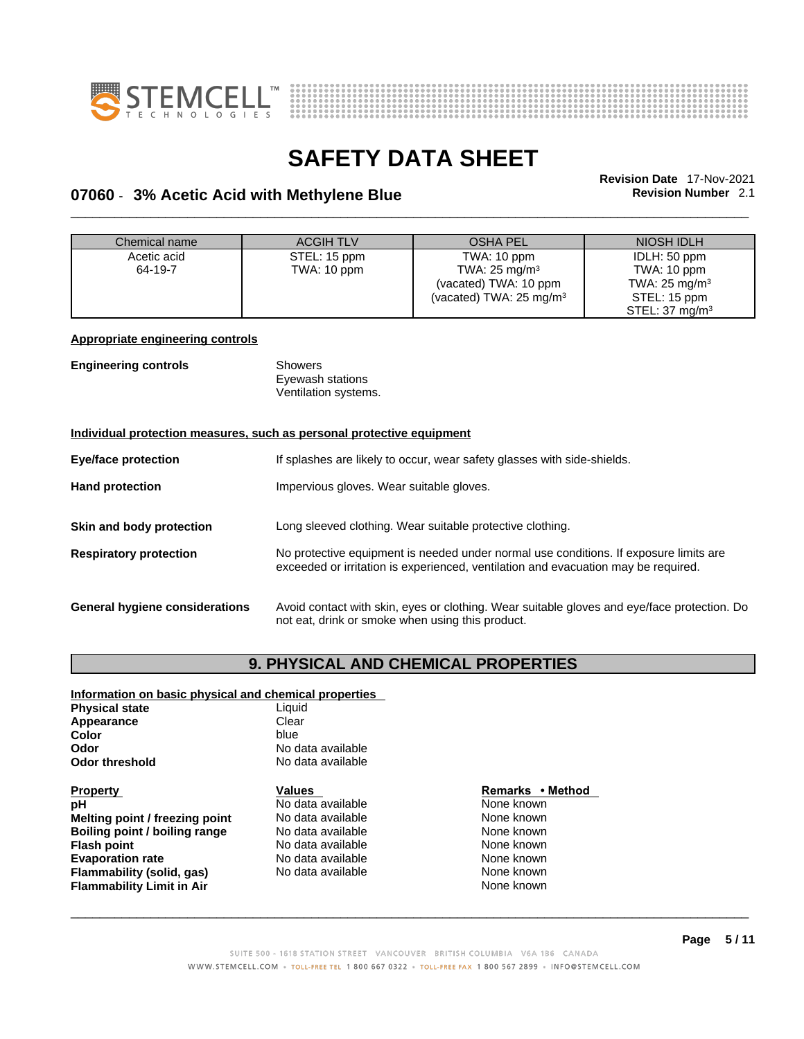



# \_\_\_\_\_\_\_\_\_\_\_\_\_\_\_\_\_\_\_\_\_\_\_\_\_\_\_\_\_\_\_\_\_\_\_\_\_\_\_\_\_\_\_\_\_\_\_\_\_\_\_\_\_\_\_\_\_\_\_\_\_\_\_\_\_\_\_\_\_\_\_\_\_\_\_\_\_\_\_\_\_\_\_\_\_\_\_\_\_\_\_\_\_ **Revision Date** 17-Nov-2021 **07060** - **3% Acetic Acid with Methylene Blue Revision Number** 2.1

| Chemical name                                                         | <b>ACGIHTLV</b>                                  | <b>OSHA PEL</b>                                                                             | NIOSH IDLH                 |  |
|-----------------------------------------------------------------------|--------------------------------------------------|---------------------------------------------------------------------------------------------|----------------------------|--|
| Acetic acid                                                           | STEL: 15 ppm                                     | TWA: 10 ppm                                                                                 | IDLH: 50 ppm               |  |
| 64-19-7                                                               | TWA: 10 ppm                                      | TWA: $25 \text{ mg/m}^3$                                                                    | TWA: 10 ppm                |  |
|                                                                       |                                                  | (vacated) TWA: 10 ppm                                                                       | TWA: $25 \text{ mg/m}^3$   |  |
|                                                                       |                                                  | (vacated) TWA: $25 \text{ mg/m}^3$                                                          | STEL: 15 ppm               |  |
|                                                                       |                                                  |                                                                                             | STEL: 37 mg/m <sup>3</sup> |  |
| <b>Appropriate engineering controls</b>                               |                                                  |                                                                                             |                            |  |
|                                                                       |                                                  |                                                                                             |                            |  |
| <b>Engineering controls</b>                                           | <b>Showers</b>                                   |                                                                                             |                            |  |
|                                                                       | Eyewash stations                                 |                                                                                             |                            |  |
|                                                                       | Ventilation systems.                             |                                                                                             |                            |  |
|                                                                       |                                                  |                                                                                             |                            |  |
| Individual protection measures, such as personal protective equipment |                                                  |                                                                                             |                            |  |
|                                                                       |                                                  |                                                                                             |                            |  |
| Eye/face protection                                                   |                                                  | If splashes are likely to occur, wear safety glasses with side-shields.                     |                            |  |
| <b>Hand protection</b>                                                | Impervious gloves. Wear suitable gloves.         |                                                                                             |                            |  |
|                                                                       |                                                  |                                                                                             |                            |  |
|                                                                       |                                                  |                                                                                             |                            |  |
| Skin and body protection                                              |                                                  | Long sleeved clothing. Wear suitable protective clothing.                                   |                            |  |
| <b>Respiratory protection</b>                                         |                                                  | No protective equipment is needed under normal use conditions. If exposure limits are       |                            |  |
|                                                                       |                                                  | exceeded or irritation is experienced, ventilation and evacuation may be required.          |                            |  |
|                                                                       |                                                  |                                                                                             |                            |  |
|                                                                       |                                                  |                                                                                             |                            |  |
| General hygiene considerations                                        |                                                  | Avoid contact with skin, eyes or clothing. Wear suitable gloves and eye/face protection. Do |                            |  |
|                                                                       | not eat, drink or smoke when using this product. |                                                                                             |                            |  |
|                                                                       |                                                  |                                                                                             |                            |  |

# **9. PHYSICAL AND CHEMICAL PROPERTIES**

#### **Information on basic physical and chemical properties Physical state**

| No data available |
|-------------------|
| No data available |
|                   |

### **Property**<br> **Property**<br> **PH**<br> **Remarks** • **Method**<br> **Remarks** • **Method**<br> **Remarks** • **Method**<br> **Remarks** • **Method Melting point / freezing point Boiling point / boiling range Modata available None Known None known Flash point No data available Note Allows None known Evaporation rate No data available None known Flammability (solid, gas)** No data available None known<br> **Flammability Limit in Air** None Known **Flammability Limit in Air**

**Pho data available None known**<br> **pHo data available None known**<br>
None known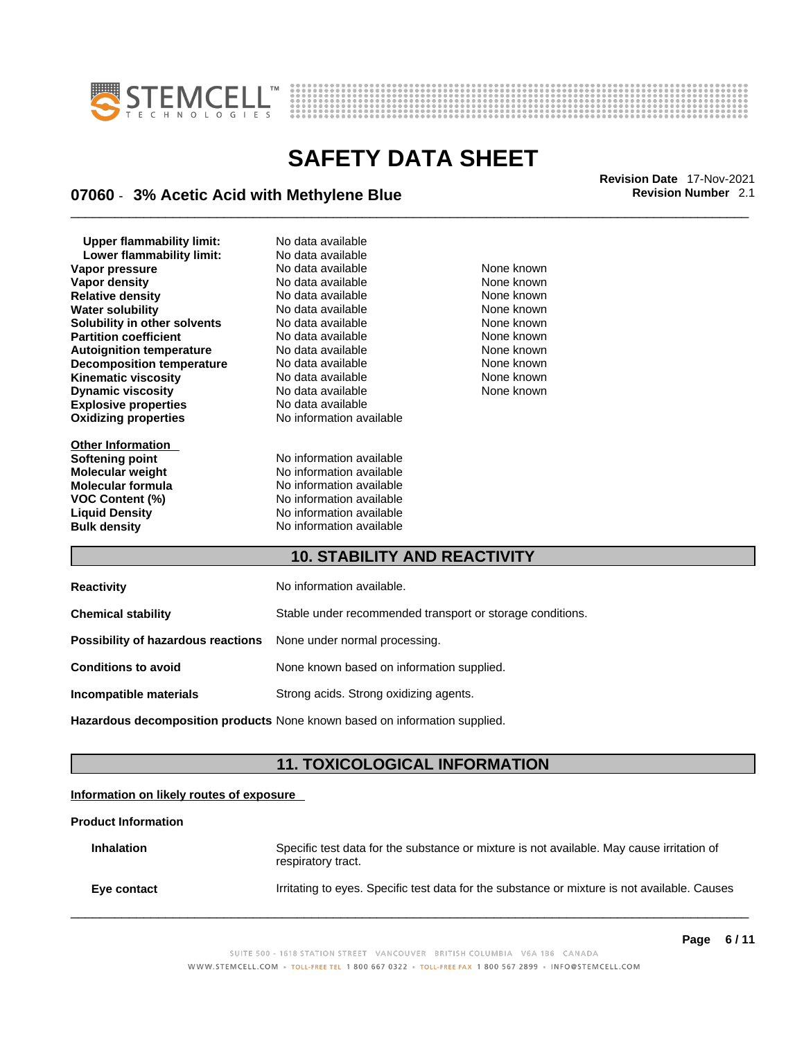



# \_\_\_\_\_\_\_\_\_\_\_\_\_\_\_\_\_\_\_\_\_\_\_\_\_\_\_\_\_\_\_\_\_\_\_\_\_\_\_\_\_\_\_\_\_\_\_\_\_\_\_\_\_\_\_\_\_\_\_\_\_\_\_\_\_\_\_\_\_\_\_\_\_\_\_\_\_\_\_\_\_\_\_\_\_\_\_\_\_\_\_\_\_ **Revision Date** 17-Nov-2021 **07060** - **3% Acetic Acid with Methylene Blue Revision Number** 2.1

**Explosive properties**<br> **Oxidizing properties**<br> **Oxidizing properties**<br> **No information available Oxidizing properties Upper flammability limit:** No data available **Lower flammability limit:** No data available **Vapor pressure** The Society No data available and the None known<br> **Vapor density** No data available None known **Vapor density** No data available None known **Relative density No data available None known**<br> **Water solubility No data available None known**<br>
No data available **Water solubility <br>
<b>Water solubility nother solvents** No data available **None known**<br>
None known **Solubility in other solvents Partition coefficient No data available None known Autoignition temperature** No data available None known **Decomposition temperature** No data available None known **Kinematic viscosity**<br> **Community** No data available None known<br>
None known
No data available None known
None known **Dynamic viscosity No data available None known** 

**Other Information** 

**Softening point** No information available **Molecular weight Molecular is a molecular weight Molecular formula Molecular formula Molecular formula Molecular formula Molecular formula Molecular formula Molecular formula Molecular formula Molecula Molecular formula** No information available<br> **VOC Content (%)** No information available **VOC Content (%)**<br>
Liquid Density<br>
No information available **No information available Bulk density No information available** 

### **10. STABILITY AND REACTIVITY**

| <b>Reactivity</b>                  | No information available.                                 |
|------------------------------------|-----------------------------------------------------------|
| <b>Chemical stability</b>          | Stable under recommended transport or storage conditions. |
| Possibility of hazardous reactions | None under normal processing.                             |
| <b>Conditions to avoid</b>         | None known based on information supplied.                 |
| Incompatible materials             | Strong acids. Strong oxidizing agents.                    |

**Hazardous decomposition products** None known based on information supplied.

### **11. TOXICOLOGICAL INFORMATION**

### **Information on likely routes of exposure**

### **Product Information**

| <b>Inhalation</b> | Specific test data for the substance or mixture is not available. May cause irritation of<br>respiratory tract. |
|-------------------|-----------------------------------------------------------------------------------------------------------------|
| Eye contact       | Irritating to eyes. Specific test data for the substance or mixture is not available. Causes                    |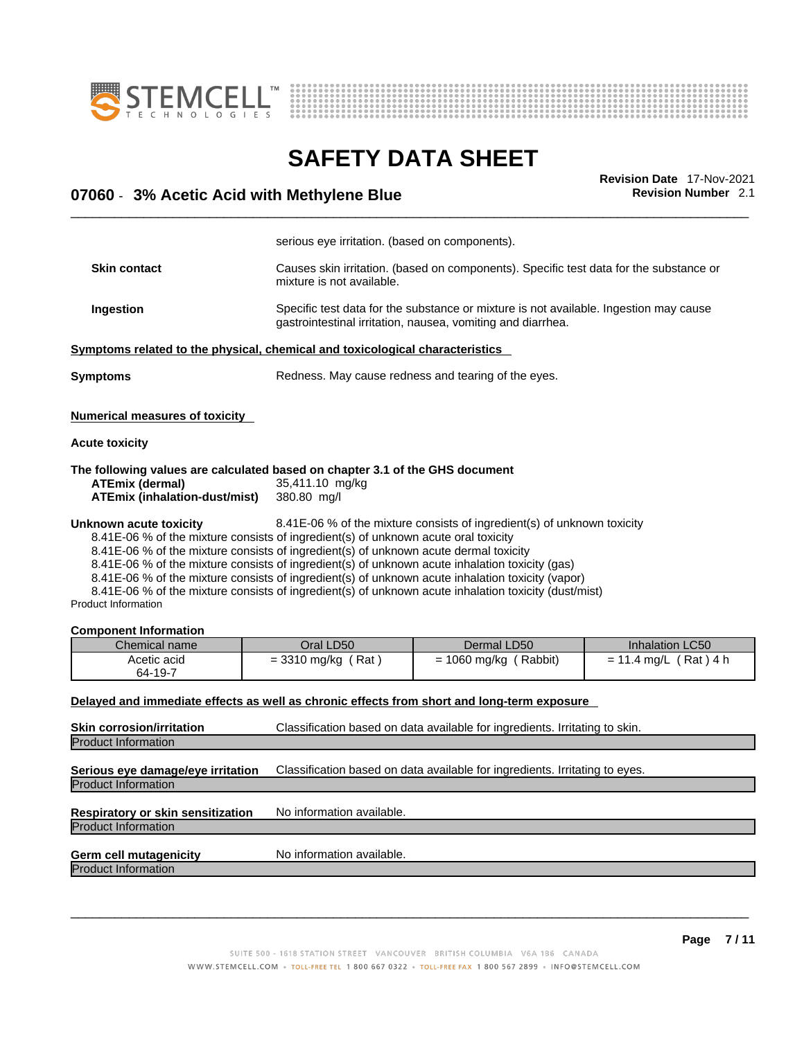



**Revision Number 2.1** 

|                                            | <b>Revision Date 17-Nov-2021</b> |
|--------------------------------------------|----------------------------------|
| 07060 - 3% Acetic Acid with Methylene Blue | <b>Revision Number</b> 2.1       |
|                                            |                                  |

|                                                                                                                                                        | serious eye irritation. (based on components).                                                                                                                             |                                                                                                                                                                                                                                                                                                            |                                            |  |
|--------------------------------------------------------------------------------------------------------------------------------------------------------|----------------------------------------------------------------------------------------------------------------------------------------------------------------------------|------------------------------------------------------------------------------------------------------------------------------------------------------------------------------------------------------------------------------------------------------------------------------------------------------------|--------------------------------------------|--|
| <b>Skin contact</b>                                                                                                                                    | mixture is not available.                                                                                                                                                  | Causes skin irritation. (based on components). Specific test data for the substance or                                                                                                                                                                                                                     |                                            |  |
| Ingestion                                                                                                                                              |                                                                                                                                                                            | Specific test data for the substance or mixture is not available. Ingestion may cause<br>gastrointestinal irritation, nausea, vomiting and diarrhea.                                                                                                                                                       |                                            |  |
| Symptoms related to the physical, chemical and toxicological characteristics                                                                           |                                                                                                                                                                            |                                                                                                                                                                                                                                                                                                            |                                            |  |
| <b>Symptoms</b>                                                                                                                                        |                                                                                                                                                                            | Redness. May cause redness and tearing of the eyes.                                                                                                                                                                                                                                                        |                                            |  |
| <b>Numerical measures of toxicity</b>                                                                                                                  |                                                                                                                                                                            |                                                                                                                                                                                                                                                                                                            |                                            |  |
| <b>Acute toxicity</b>                                                                                                                                  |                                                                                                                                                                            |                                                                                                                                                                                                                                                                                                            |                                            |  |
| The following values are calculated based on chapter 3.1 of the GHS document<br><b>ATEmix (dermal)</b><br><b>ATEmix (inhalation-dust/mist)</b>         | 35,411.10 mg/kg<br>380.80 mg/l                                                                                                                                             |                                                                                                                                                                                                                                                                                                            |                                            |  |
|                                                                                                                                                        |                                                                                                                                                                            | 8.41E-06 % of the mixture consists of ingredient(s) of unknown toxicity                                                                                                                                                                                                                                    |                                            |  |
|                                                                                                                                                        | 8.41E-06 % of the mixture consists of ingredient(s) of unknown acute oral toxicity<br>8.41E-06 % of the mixture consists of ingredient(s) of unknown acute dermal toxicity | 8.41E-06 % of the mixture consists of ingredient(s) of unknown acute inhalation toxicity (gas)<br>8.41E-06 % of the mixture consists of ingredient(s) of unknown acute inhalation toxicity (vapor)<br>8.41E-06 % of the mixture consists of ingredient(s) of unknown acute inhalation toxicity (dust/mist) |                                            |  |
|                                                                                                                                                        |                                                                                                                                                                            |                                                                                                                                                                                                                                                                                                            |                                            |  |
| Chemical name<br>Acetic acid<br>64-19-7                                                                                                                | Oral LD50<br>$= 3310$ mg/kg (Rat)                                                                                                                                          | Dermal LD50<br>$= 1060$ mg/kg (Rabbit)                                                                                                                                                                                                                                                                     | Inhalation LC50<br>$= 11.4$ mg/L (Rat) 4 h |  |
|                                                                                                                                                        |                                                                                                                                                                            | Delayed and immediate effects as well as chronic effects from short and long-term exposure                                                                                                                                                                                                                 |                                            |  |
| Unknown acute toxicity<br><b>Product Information</b><br><b>Component Information</b><br><b>Skin corrosion/irritation</b><br><b>Product Information</b> |                                                                                                                                                                            | Classification based on data available for ingredients. Irritating to skin.                                                                                                                                                                                                                                |                                            |  |
|                                                                                                                                                        |                                                                                                                                                                            | Classification based on data available for ingredients. Irritating to eyes.                                                                                                                                                                                                                                |                                            |  |
| Serious eye damage/eye irritation<br><b>Product Information</b><br>Respiratory or skin sensitization<br><b>Product Information</b>                     | No information available.                                                                                                                                                  |                                                                                                                                                                                                                                                                                                            |                                            |  |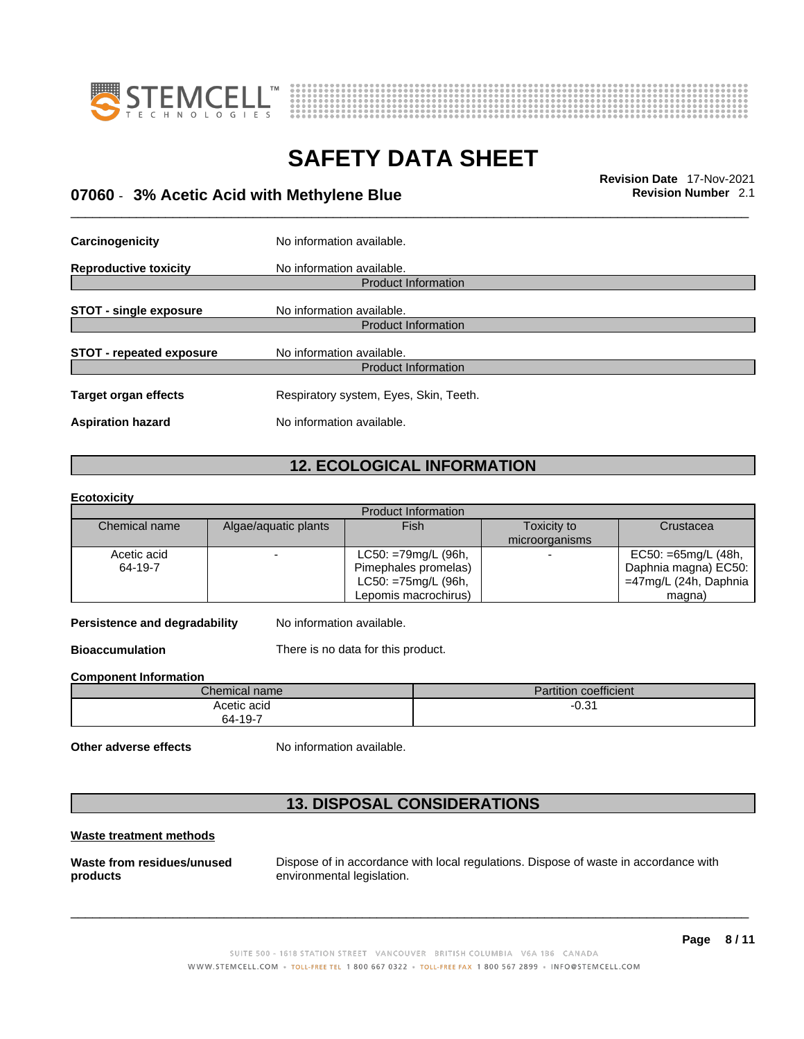



# \_\_\_\_\_\_\_\_\_\_\_\_\_\_\_\_\_\_\_\_\_\_\_\_\_\_\_\_\_\_\_\_\_\_\_\_\_\_\_\_\_\_\_\_\_\_\_\_\_\_\_\_\_\_\_\_\_\_\_\_\_\_\_\_\_\_\_\_\_\_\_\_\_\_\_\_\_\_\_\_\_\_\_\_\_\_\_\_\_\_\_\_\_ **Revision Date** 17-Nov-2021 **07060** - **3% Acetic Acid with Methylene Blue Revision Number** 2.1

| Carcinogenicity                 | No information available.                               |
|---------------------------------|---------------------------------------------------------|
| <b>Reproductive toxicity</b>    | No information available.<br><b>Product Information</b> |
|                                 |                                                         |
| <b>STOT - single exposure</b>   | No information available.                               |
|                                 | <b>Product Information</b>                              |
| <b>STOT - repeated exposure</b> | No information available.                               |
|                                 | <b>Product Information</b>                              |
| <b>Target organ effects</b>     | Respiratory system, Eyes, Skin, Teeth.                  |
| <b>Aspiration hazard</b>        | No information available.                               |

# **12. ECOLOGICAL INFORMATION**

**Ecotoxicity** 

|               |                      | Product Information    |                |                        |
|---------------|----------------------|------------------------|----------------|------------------------|
| Chemical name | Algae/aquatic plants | Fish                   | Toxicity to    | Crustacea              |
|               |                      |                        | microorganisms |                        |
| Acetic acid   |                      | LC50: =79mg/L (96h,    |                | $EC50: = 65mg/L (48h,$ |
| 64-19-7       |                      | Pimephales promelas)   |                | Daphnia magna) EC50:   |
|               |                      | $LC50: = 75mg/L$ (96h, |                | =47mg/L (24h, Daphnia  |
|               |                      | Lepomis macrochirus)   |                | magna)                 |

**Persistence and degradability** No information available.

**Bioaccumulation** There is no data for this product.

**Component Information**

| $\sim$<br>Chemical name | <b>Partition coefficient</b> |
|-------------------------|------------------------------|
| Acetic acid             | 04 ن<br>-u.s.                |
| 64-19-7                 |                              |

**Other adverse effects** No information available.

## **13. DISPOSAL CONSIDERATIONS**

### **Waste treatment methods**

**Waste from residues/unused products** 

Dispose of in accordance with local regulations. Dispose of waste in accordance with environmental legislation.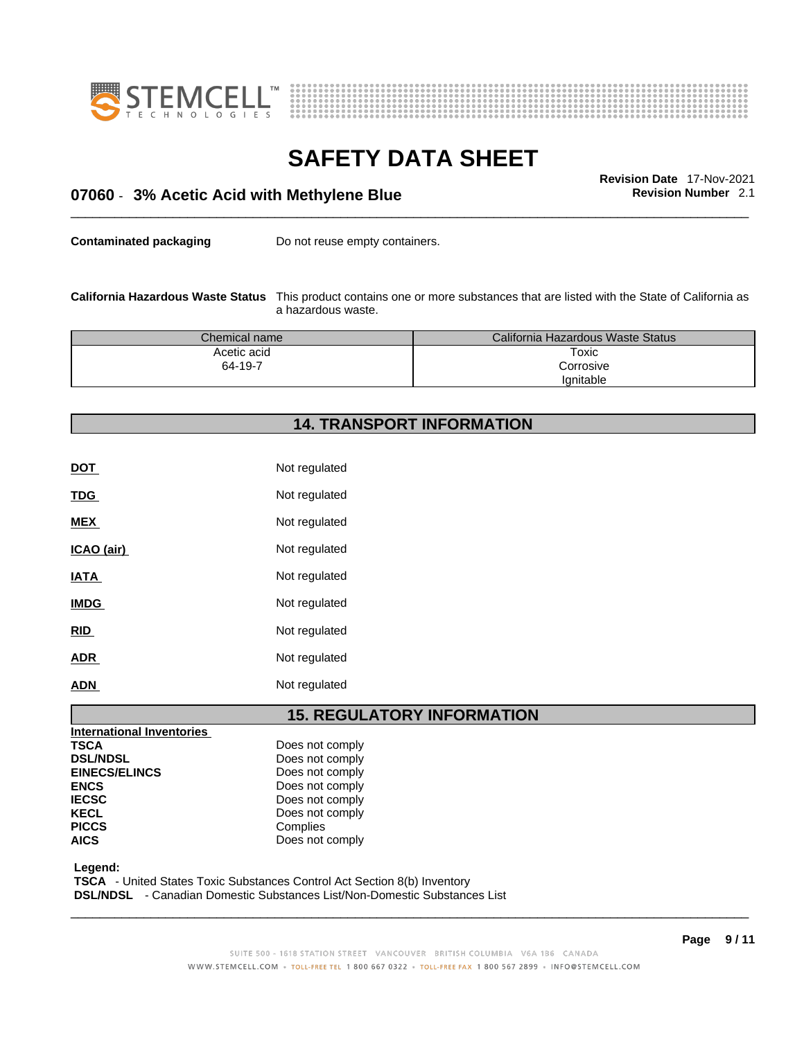



# \_\_\_\_\_\_\_\_\_\_\_\_\_\_\_\_\_\_\_\_\_\_\_\_\_\_\_\_\_\_\_\_\_\_\_\_\_\_\_\_\_\_\_\_\_\_\_\_\_\_\_\_\_\_\_\_\_\_\_\_\_\_\_\_\_\_\_\_\_\_\_\_\_\_\_\_\_\_\_\_\_\_\_\_\_\_\_\_\_\_\_\_\_ **Revision Date** 17-Nov-2021 **07060** - **3% Acetic Acid with Methylene Blue Revision Number** 2.1

**Contaminated packaging** Do not reuse empty containers.

**California Hazardous Waste Status** This product contains one ormore substances that are listed with the State of California as a hazardous waste.

| Chemical name | California Hazardous Waste Status |
|---------------|-----------------------------------|
| Acetic acid   | Toxic                             |
| 64-19-7       | Corrosive                         |
|               | lanitable                         |

# **14. TRANSPORT INFORMATION**

| <b>DOT</b>  | Not regulated |
|-------------|---------------|
| <b>TDG</b>  | Not regulated |
| <b>MEX</b>  | Not regulated |
| ICAO (air)  | Not regulated |
| <b>IATA</b> | Not regulated |
| <b>IMDG</b> | Not regulated |
| <b>RID</b>  | Not regulated |
| <b>ADR</b>  | Not regulated |
| <b>ADN</b>  | Not regulated |

### **15. REGULATORY INFORMATION**

| <b>INCHANDE INVENTORS</b> |                 |
|---------------------------|-----------------|
| <b>TSCA</b>               | Does not comply |
| <b>DSL/NDSL</b>           | Does not comply |
| <b>EINECS/ELINCS</b>      | Does not comply |
| <b>ENCS</b>               | Does not comply |
| <b>IECSC</b>              | Does not comply |
| <b>KECL</b>               | Does not comply |
| <b>PICCS</b>              | Complies        |
| <b>AICS</b>               | Does not comply |
|                           |                 |

 **Legend:** 

**International Inventories**

 **TSCA** - United States Toxic Substances Control Act Section 8(b) Inventory

 **DSL/NDSL** - Canadian Domestic Substances List/Non-Domestic Substances List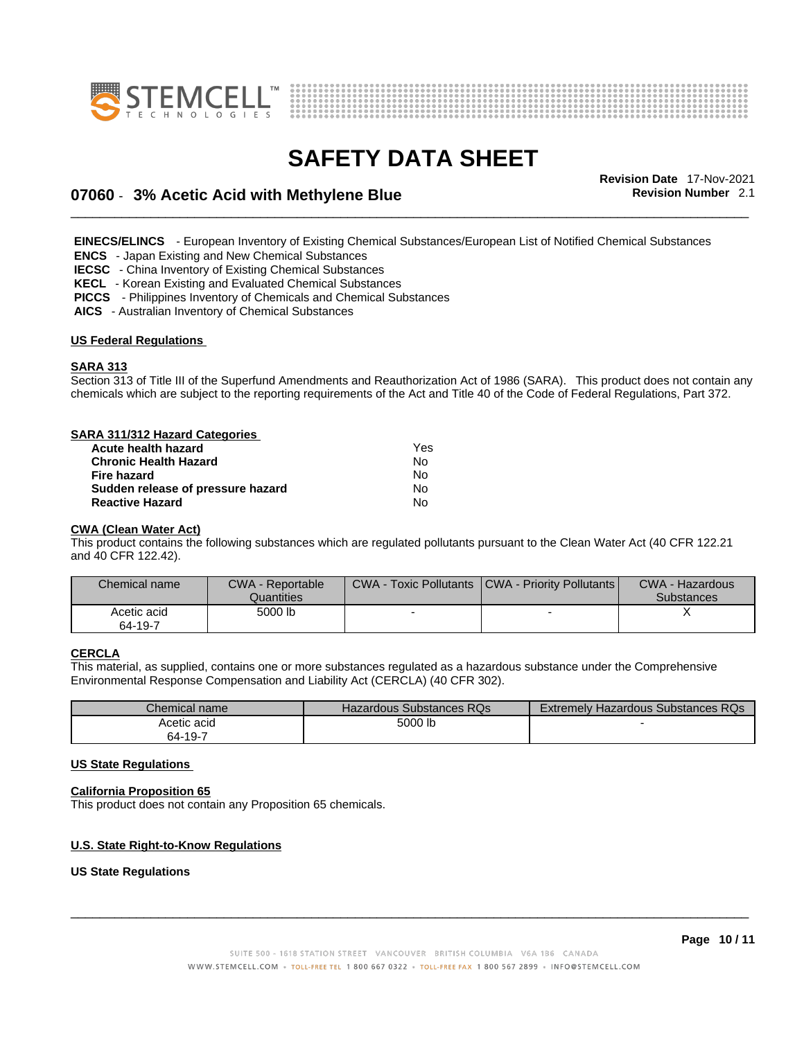



# \_\_\_\_\_\_\_\_\_\_\_\_\_\_\_\_\_\_\_\_\_\_\_\_\_\_\_\_\_\_\_\_\_\_\_\_\_\_\_\_\_\_\_\_\_\_\_\_\_\_\_\_\_\_\_\_\_\_\_\_\_\_\_\_\_\_\_\_\_\_\_\_\_\_\_\_\_\_\_\_\_\_\_\_\_\_\_\_\_\_\_\_\_ **Revision Date** 17-Nov-2021 **07060** - **3% Acetic Acid with Methylene Blue Revision Number** 2.1

 **EINECS/ELINCS** - European Inventory of Existing Chemical Substances/European List of Notified Chemical Substances

 **ENCS** - Japan Existing and New Chemical Substances

 **IECSC** - China Inventory of Existing Chemical Substances

 **KECL** - Korean Existing and Evaluated Chemical Substances

 **PICCS** - Philippines Inventory of Chemicals and Chemical Substances

 **AICS** - Australian Inventory of Chemical Substances

### **US Federal Regulations**

#### **SARA 313**

Section 313 of Title III of the Superfund Amendments and Reauthorization Act of 1986 (SARA). This product does not contain any chemicals which are subject to the reporting requirements of the Act and Title 40 of the Code of Federal Regulations, Part 372.

### **SARA 311/312 Hazard Categories**

| Acute health hazard               | Yes |  |
|-----------------------------------|-----|--|
| <b>Chronic Health Hazard</b>      | N٥  |  |
| Fire hazard                       | N٥  |  |
| Sudden release of pressure hazard | N٥  |  |
| <b>Reactive Hazard</b>            | N٥  |  |

#### **CWA (Clean WaterAct)**

This product contains the following substances which are regulated pollutants pursuant to the Clean Water Act (40 CFR 122.21 and 40 CFR 122.42).

| Chemical name          | <b>CWA - Reportable</b><br>Quantities | CWA - Toxic Pollutants   CWA - Priority Pollutants | CWA - Hazardous<br><b>Substances</b> |
|------------------------|---------------------------------------|----------------------------------------------------|--------------------------------------|
| Acetic acid<br>64-19-7 | 5000 lb                               |                                                    |                                      |

### **CERCLA**

This material, as supplied, contains one or more substances regulated as a hazardous substance under the Comprehensive Environmental Response Compensation and Liability Act (CERCLA) (40 CFR 302).

| <i>Chemical name</i> | Hazardous Substances RQs | Hazardous Substances RQs<br>Extremelv F |
|----------------------|--------------------------|-----------------------------------------|
| Acetic acid          | 5000 lb                  |                                         |
| 64-19-7              |                          |                                         |

### **US State Regulations**

### **California Proposition 65**

This product does not contain any Proposition 65 chemicals.

### **U.S. State Right-to-Know Regulations**

#### **US State Regulations**